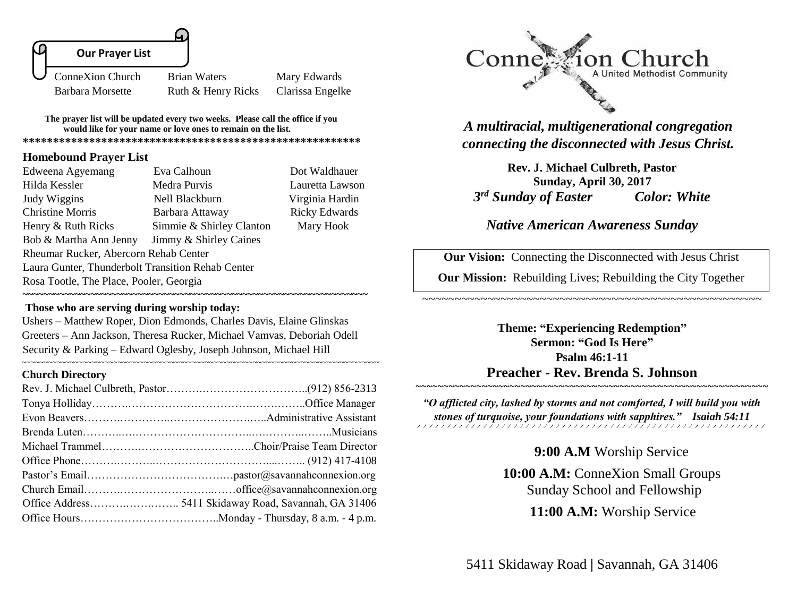

**The prayer list will be updated every two weeks. Please call the office if you would like for your name or love ones to remain on the list. \*\*\*\*\*\*\*\*\*\*\*\*\*\*\*\*\*\*\*\*\*\*\*\*\*\*\*\*\*\*\*\*\*\*\*\*\*\*\*\*\*\*\*\*\*\*\*\*\*\*\*\*\*\*\*\***

**Homebound Prayer List**

| Edweena Agyemang                                  | Eva Calhoun              | Dot Waldhauer        |  |
|---------------------------------------------------|--------------------------|----------------------|--|
| Hilda Kessler                                     | Medra Purvis             | Lauretta Lawson      |  |
| Judy Wiggins                                      | Nell Blackburn           | Virginia Hardin      |  |
| <b>Christine Morris</b>                           | Barbara Attaway          | <b>Ricky Edwards</b> |  |
| Henry & Ruth Ricks                                | Simmie & Shirley Clanton | Mary Hook            |  |
| Bob & Martha Ann Jenny<br>Jimmy & Shirley Caines  |                          |                      |  |
| Rheumar Rucker, Abercorn Rehab Center             |                          |                      |  |
| Laura Gunter, Thunderbolt Transition Rehab Center |                          |                      |  |
| Rosa Tootle, The Place, Pooler, Georgia           |                          |                      |  |
|                                                   |                          |                      |  |

**Those who are serving during worship today:** 

Ushers – Matthew Roper, Dion Edmonds, Charles Davis, Elaine Glinskas Greeters – Ann Jackson, Theresa Rucker, Michael Vamvas, Deboriah Odell Security & Parking – Edward Oglesby, Joseph Johnson, Michael Hill

~~~~~~~~~~~~~~~~~~~~~~~~~~~~~~~~~~~~~~~~~~~~~~~~~~~~~~~~~~~~~~~~~~~~~~~~~~~~~~~~~~

### **Church Directory**



*A multiracial, multigenerational congregation connecting the disconnected with Jesus Christ.*

**Rev. J. Michael Culbreth, Pastor Sunday, April 30, 2017**  *3 rd Sunday of Easter Color: White*

# *Native American Awareness Sunday*

**Our Vision:** Connecting the Disconnected with Jesus Christ

**Our Mission:** Rebuilding Lives; Rebuilding the City Together

~~~~~~~~~~~~~~~~~~~~~~~~~~~~~~~~~~~~~~~~~~~~~~~~~~~~

**Theme: "Experiencing Redemption" Sermon: "God Is Here" Psalm 46:1-11 Preacher - Rev. Brenda S. Johnson**

*"O afflicted city, lashed by storms and not comforted, I will build you with stones of turquoise, your foundations with sapphires." Isaiah 54:11* 

**9:00 A.M** Worship Service

~~~~~~~~~~~~~~~~~~~~~~~~~~~~~

**10:00 A.M:** ConneXion Small Groups Sunday School and Fellowship

 **11:00 A.M:** Worship Service

5411 Skidaway Road **|** Savannah, GA 31406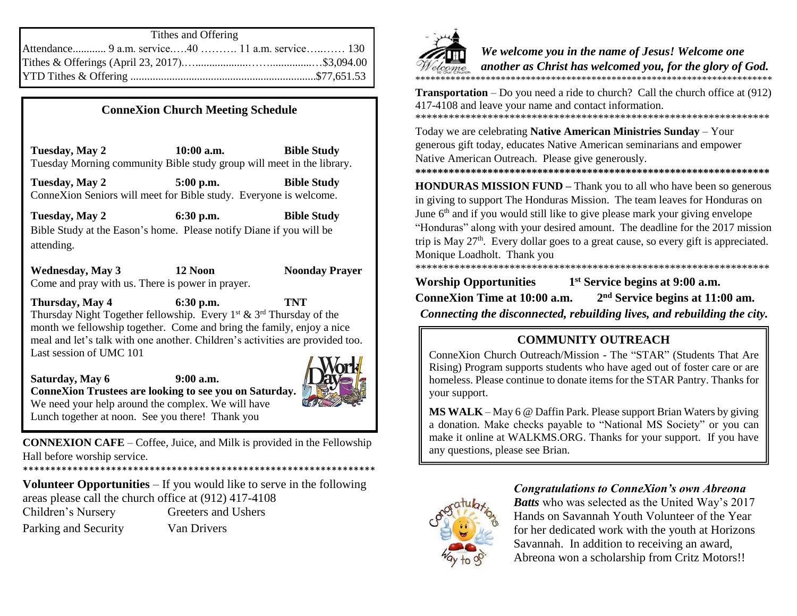| Tithes and Offering                              |  |  |
|--------------------------------------------------|--|--|
| Attendance 9 a.m. service40  11 a.m. service 130 |  |  |
|                                                  |  |  |
|                                                  |  |  |

### **ConneXion Church Meeting Schedule**

**Tuesday, May 2 10:00 a.m. Bible Study** Tuesday Morning community Bible study group will meet in the library.

**Tuesday, May 2 5:00 p.m. Bible Study** ConneXion Seniors will meet for Bible study. Everyone is welcome.

**Tuesday, May 2 6:30 p.m. Bible Study** Bible Study at the Eason's home. Please notify Diane if you will be attending.

**Wednesday, May 3 12 Noon Noonday Prayer** Come and pray with us. There is power in prayer.

**Thursday, May 4 6:30 p.m. TNT** Thursday Night Together fellowship. Every  $1^{st}$  &  $3^{rd}$  Thursday of the month we fellowship together. Come and bring the family, enjoy a nice meal and let's talk with one another. Children's activities are provided too. Last session of UMC 101

**Saturday, May 6 9:00 a.m. ConneXion Trustees are looking to see you on Saturday.** We need your help around the complex. We will have Lunch together at noon. See you there! Thank you

**CONNEXION CAFE** – Coffee, Juice, and Milk is provided in the Fellowship Hall before worship service.

\*\*\*\*\*\*\*\*\*\*\*\*\*\*\*\*\*\*\*\*\*\*\*\*\*\*\*\*\*\*\*\*\*\*\*\*\*\*\*\*\*\*\*\*\*\*\*\*\*\*\*\*\*\*\*\*\*\*\*\*\*\*\*\* SPPR team will meet in the library. All members are asked to be present.

**Volunteer Opportunities** – If you would like to serve in the following areas please call the church office at (912) 417-4108 Children's Nursery Greeters and Ushers Parking and Security Van Drivers



*We welcome you in the name of Jesus! Welcome one another as Christ has welcomed you, for the glory of God.* \*\*\*\*\*\*\*\*\*\*\*\*\*\*\*\*\*\*\*\*\*\*\*\*\*\*\*\*\*\*\*\*\*\*\*\*\*\*\*\*\*\*\*\*\*\*\*\*\*\*\*\*\*\*\*\*\*\*\*\*\*\*\*\*\*\*\*\*\*\*\*

**Transportation** – Do you need a ride to church? Call the church office at (912) 417-4108 and leave your name and contact information. \*\*\*\*\*\*\*\*\*\*\*\*\*\*\*\*\*\*\*\*\*\*\*\*\*\*\*\*\*\*\*\*\*\*\*\*\*\*\*\*\*\*\*\*\*\*\*\*\*\*\*\*\*\*\*\*\*\*\*\*\*\*\*\*

Today we are celebrating **Native American Ministries Sunday** – Your generous gift today, educates Native American seminarians and empower Native American Outreach. Please give generously.

**\*\*\*\*\*\*\*\*\*\*\*\*\*\*\*\*\*\*\*\*\*\*\*\*\*\*\*\*\*\*\*\*\*\*\*\*\*\*\*\*\*\*\*\*\*\*\*\*\*\*\*\*\*\*\*\*\*\*\*\*\*\*\*\***

**HONDURAS MISSION FUND –** Thank you to all who have been so generous in giving to support The Honduras Mission. The team leaves for Honduras on June  $6<sup>th</sup>$  and if you would still like to give please mark your giving envelope "Honduras" along with your desired amount. The deadline for the 2017 mission trip is May  $27<sup>th</sup>$ . Every dollar goes to a great cause, so every gift is appreciated. Monique Loadholt. Thank you \*\*\*\*\*\*\*\*\*\*\*\*\*\*\*\*\*\*\*\*\*\*\*\*\*\*\*\*\*\*\*\*

**Worship Opportunities 1 st Service begins at 9:00 a.m. ConneXion Time at 10:00 a.m. 2 nd Service begins at 11:00 am.**

*Connecting the disconnected, rebuilding lives, and rebuilding the city.*

# **COMMUNITY OUTREACH**

ConneXion Church Outreach/Mission - The "STAR" (Students That Are Rising) Program supports students who have aged out of foster care or are homeless. Please continue to donate items for the STAR Pantry. Thanks for your support.

**MS WALK** – May 6 @ Daffin Park. Please support Brian Waters by giving a donation. Make checks payable to "National MS Society" or you can make it online at WALKMS.ORG. Thanks for your support. If you have any questions, please see Brian.



## *Congratulations to ConneXion's own Abreona*

*Batts* who was selected as the United Way's 2017 Hands on Savannah Youth Volunteer of the Year for her dedicated work with the youth at Horizons Savannah. In addition to receiving an award, Abreona won a scholarship from Critz Motors!!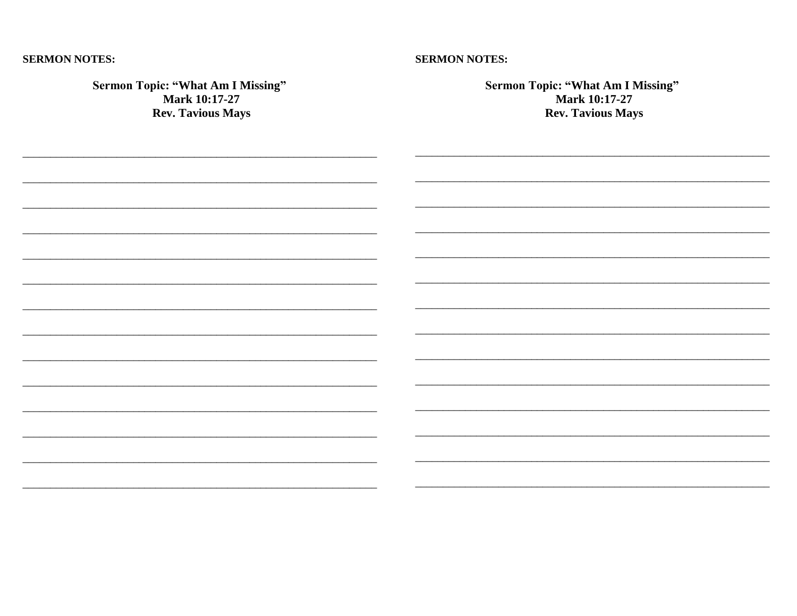#### **SERMON NOTES:**

### **SERMON NOTES:**

| <b>Sermon Topic: "What Am I Missing"</b><br>Mark 10:17-27<br><b>Rev. Tavious Mays</b> | <b>Sermon Topic: "What Am I Missing"</b><br>Mark 10:17-27<br><b>Rev. Tavious Mays</b> |  |
|---------------------------------------------------------------------------------------|---------------------------------------------------------------------------------------|--|
|                                                                                       |                                                                                       |  |
|                                                                                       |                                                                                       |  |
|                                                                                       |                                                                                       |  |
|                                                                                       |                                                                                       |  |
|                                                                                       |                                                                                       |  |
|                                                                                       |                                                                                       |  |
|                                                                                       |                                                                                       |  |
|                                                                                       |                                                                                       |  |
|                                                                                       |                                                                                       |  |
|                                                                                       |                                                                                       |  |